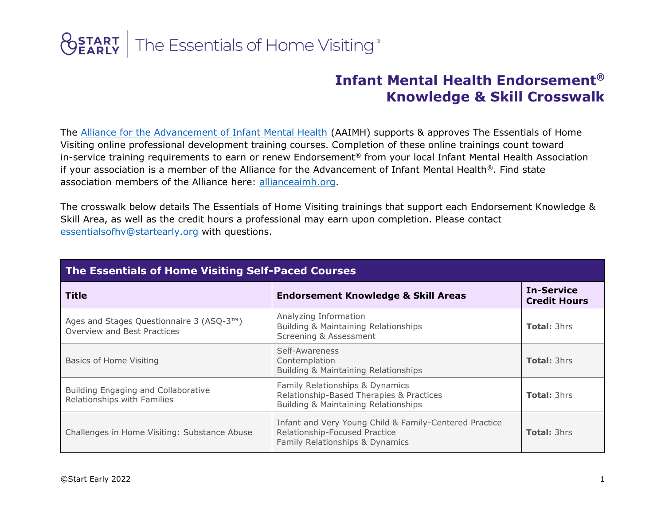## **OSTART** The Essentials of Home Visiting®

## **Infant Mental Health Endorsement® Knowledge & Skill Crosswalk**

The [Alliance for the Advancement of Infant Mental Health](https://www.allianceaimh.org/) (AAIMH) supports & approves The Essentials of Home Visiting online professional development training courses. Completion of these online trainings count toward in-service training requirements to earn or renew Endorsement® from your local Infant Mental Health Association if your association is a member of the Alliance for the Advancement of Infant Mental Health®. Find state association members of the Alliance here: [allianceaimh.org.](https://www.allianceaimh.org/)

The crosswalk below details The Essentials of Home Visiting trainings that support each Endorsement Knowledge & Skill Area, as well as the credit hours a professional may earn upon completion. Please contact [essentialsofhv@startearly.org](https://www.startearly.org/resources-professionals/professional-development/essentials-home-visiting/) with questions.

| The Essentials of Home Visiting Self-Paced Courses                      |                                                                                                                            |                                          |  |  |
|-------------------------------------------------------------------------|----------------------------------------------------------------------------------------------------------------------------|------------------------------------------|--|--|
| <b>Title</b>                                                            | <b>Endorsement Knowledge &amp; Skill Areas</b>                                                                             | <b>In-Service</b><br><b>Credit Hours</b> |  |  |
| Ages and Stages Questionnaire 3 (ASQ-3™)<br>Overview and Best Practices | Analyzing Information<br>Building & Maintaining Relationships<br>Screening & Assessment                                    | <b>Total: 3hrs</b>                       |  |  |
| Basics of Home Visiting                                                 | Self-Awareness<br>Contemplation<br>Building & Maintaining Relationships                                                    | <b>Total: 3hrs</b>                       |  |  |
| Building Engaging and Collaborative<br>Relationships with Families      | Family Relationships & Dynamics<br>Relationship-Based Therapies & Practices<br>Building & Maintaining Relationships        | <b>Total: 3hrs</b>                       |  |  |
| Challenges in Home Visiting: Substance Abuse                            | Infant and Very Young Child & Family-Centered Practice<br>Relationship-Focused Practice<br>Family Relationships & Dynamics | <b>Total: 3hrs</b>                       |  |  |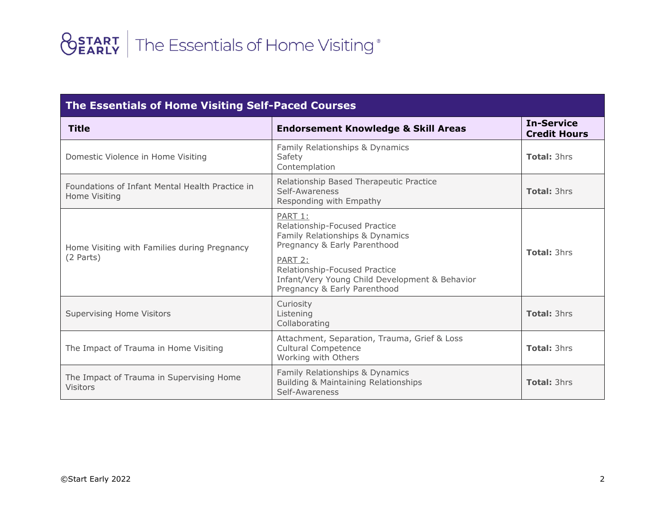| <b>The Essentials of Home Visiting Self-Paced Courses</b>        |                                                                                                                                                                                                                                           |                                          |  |  |
|------------------------------------------------------------------|-------------------------------------------------------------------------------------------------------------------------------------------------------------------------------------------------------------------------------------------|------------------------------------------|--|--|
| <b>Title</b>                                                     | <b>Endorsement Knowledge &amp; Skill Areas</b>                                                                                                                                                                                            | <b>In-Service</b><br><b>Credit Hours</b> |  |  |
| Domestic Violence in Home Visiting                               | Family Relationships & Dynamics<br>Safety<br>Contemplation                                                                                                                                                                                | <b>Total: 3hrs</b>                       |  |  |
| Foundations of Infant Mental Health Practice in<br>Home Visiting | Relationship Based Therapeutic Practice<br>Self-Awareness<br>Responding with Empathy                                                                                                                                                      | <b>Total: 3hrs</b>                       |  |  |
| Home Visiting with Families during Pregnancy<br>(2 Parts)        | PART 1:<br>Relationship-Focused Practice<br>Family Relationships & Dynamics<br>Pregnancy & Early Parenthood<br>PART 2:<br>Relationship-Focused Practice<br>Infant/Very Young Child Development & Behavior<br>Pregnancy & Early Parenthood | <b>Total: 3hrs</b>                       |  |  |
| <b>Supervising Home Visitors</b>                                 | Curiosity<br>Listening<br>Collaborating                                                                                                                                                                                                   | <b>Total: 3hrs</b>                       |  |  |
| The Impact of Trauma in Home Visiting                            | Attachment, Separation, Trauma, Grief & Loss<br><b>Cultural Competence</b><br>Working with Others                                                                                                                                         | <b>Total: 3hrs</b>                       |  |  |
| The Impact of Trauma in Supervising Home<br><b>Visitors</b>      | Family Relationships & Dynamics<br>Building & Maintaining Relationships<br>Self-Awareness                                                                                                                                                 | <b>Total: 3hrs</b>                       |  |  |